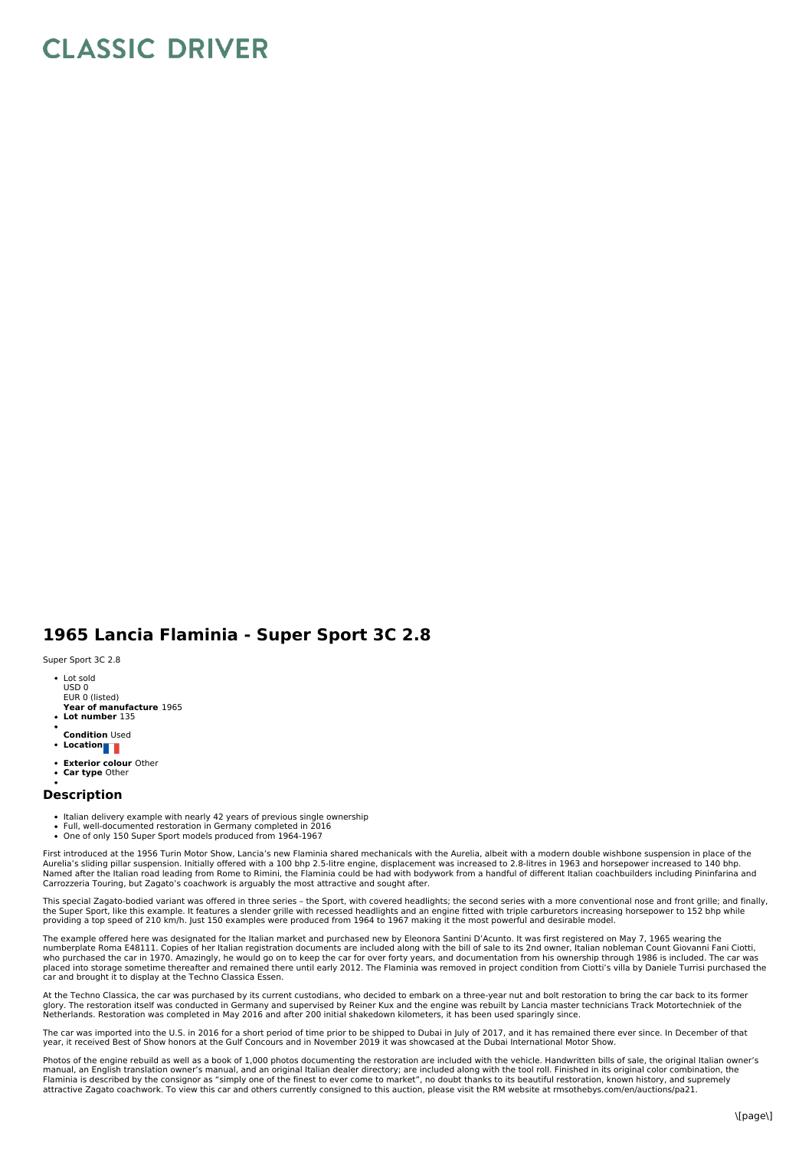## **CLASSIC DRIVER**

## **1965 Lancia Flaminia - Super Sport 3C 2.8**

Super Sport 3C 2.8

- Lot sold USD 0 EUR 0 (listed)
- **Year of manufacture** 1965
- **Lot number** 135
- **Condition** Used
- **Location**
- **Exterior colour** Other
- **Car type** Other

## **Description**

- Italian delivery example with nearly 42 years of previous single ownership
- 
- Full, well-documented restoration in Germany completed in 2016 One of only 150 Super Sport models produced from 1964-1967

First introduced at the 1956 Turin Motor Show, Lancia's new Flaminia shared mechanicals with the Aurelia, albeit with a modern double wishbone suspension in place of the Aurelia's sliding pillar suspension. Initially offered with a 100 bhp 2.5-litre engine, displacement was increased to 2.8-litres in 1963 and horsepower increased to 140 bhp.<br>Named after the Italian road leading from Rome t Carrozzeria Touring, but Zagato's coachwork is arguably the most attractive and sought after.

This special Zagato-bodied variant was offered in three series - the Sport, with covered headlights; the second series with a more conventional nose and front grille; and finally,<br>the Super Sport, like this example. It fea

The example offered here was designated for the Italian market and purchased new by Eleonora Santini D'Acunto. It was first registered on May 7, 1965 wearing the numberplate Roma E48111. Copies of her Italian registration documents are included along with the bill of sale to its 2nd owner, Italian nobleman Count Giovanni Fani Ciotti,<br>who purchased the car in 1970. Amazingly, he wou placed into storage sometime thereafter and remained there until early 2012. The Flaminia was removed in project condition from Ciotti's villa by Daniele Turrisi purchased the<br>car and brought it to display at the Techno Cl

At the Techno Classica, the car was purchased by its current custodians, who decided to embark on a three-year nut and bolt restoration to bring the car back to its former glory. The restoration itself was conducted in Germany and supervised by Reiner Kux and the engine was rebuilt by Lancia master technicians Track Motortechniek of the<br>Netherlands. Restoration was completed in May 2016 and

The car was imported into the U.S. in 2016 for a short period of time prior to be shipped to Dubai in July of 2017, and it has remained there ever since. In December of that year, it received Best of Show honors at the Gulf Concours and in November 2019 it was showcased at the Dubai International Motor Show.

Photos of the engine rebuild as well as a book of 1,000 photos documenting the restoration are included with the vehicle. Handwritten bills of sale, the original Italian owner's manual, an English translation owner's manual, and an original Italian dealer directory; are included along with the tool roll. Finished in its original color combination, the<br>Flaminia is described by the consignor as "sim attractive Zagato coachwork. To view this car and others currently consigned to this auction, please visit the RM website at rmsothebys.com/en/auctions/pa21.